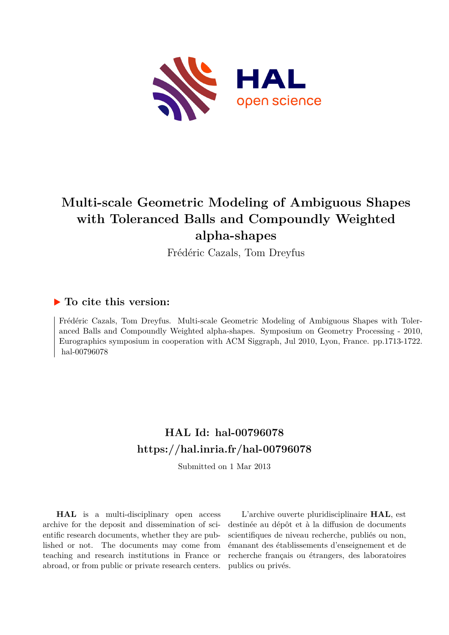

# **Multi-scale Geometric Modeling of Ambiguous Shapes with Toleranced Balls and Compoundly Weighted alpha-shapes**

Frédéric Cazals, Tom Dreyfus

## **To cite this version:**

Frédéric Cazals, Tom Dreyfus. Multi-scale Geometric Modeling of Ambiguous Shapes with Toleranced Balls and Compoundly Weighted alpha-shapes. Symposium on Geometry Processing - 2010, Eurographics symposium in cooperation with ACM Siggraph, Jul 2010, Lyon, France. pp.1713-1722. hal-00796078

# **HAL Id: hal-00796078 <https://hal.inria.fr/hal-00796078>**

Submitted on 1 Mar 2013

**HAL** is a multi-disciplinary open access archive for the deposit and dissemination of scientific research documents, whether they are published or not. The documents may come from teaching and research institutions in France or abroad, or from public or private research centers.

L'archive ouverte pluridisciplinaire **HAL**, est destinée au dépôt et à la diffusion de documents scientifiques de niveau recherche, publiés ou non, émanant des établissements d'enseignement et de recherche français ou étrangers, des laboratoires publics ou privés.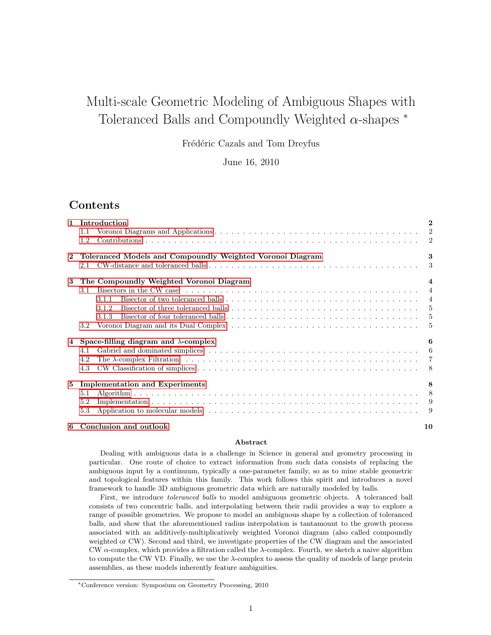## Multi-scale Geometric Modeling of Ambiguous Shapes with Toleranced Balls and Compoundly Weighted  $\alpha$ -shapes  $*$

Frédéric Cazals and Tom Dreyfus

June 16, 2010

## Contents

| $\mathbf 1$  | Introduction                                                                                                                            | $\overline{2}$ |
|--------------|-----------------------------------------------------------------------------------------------------------------------------------------|----------------|
|              | 1.1                                                                                                                                     |                |
|              | 1.2                                                                                                                                     |                |
| $\mathbf{2}$ | Toleranced Models and Compoundly Weighted Voronoi Diagram                                                                               | 3              |
|              | 2.1                                                                                                                                     | 3              |
| 3            | The Compoundly Weighted Voronoi Diagram                                                                                                 | $\overline{4}$ |
|              | Bisectors in the CW case $\dots \dots \dots \dots \dots \dots \dots \dots \dots \dots \dots \dots \dots \dots \dots \dots \dots$<br>3.1 |                |
|              | 3.1.1                                                                                                                                   |                |
|              | 3.1.2                                                                                                                                   |                |
|              | 3.1.3                                                                                                                                   |                |
|              | 3.2                                                                                                                                     |                |
| 4            | Space-filling diagram and $\lambda$ -complex                                                                                            | 6              |
|              | 4.1                                                                                                                                     |                |
|              | 4.2                                                                                                                                     |                |
|              | 4.3                                                                                                                                     |                |
| 5            | <b>Implementation and Experiments</b>                                                                                                   | 8              |
|              | 5.1                                                                                                                                     |                |
|              | 5.2                                                                                                                                     |                |
|              | 5.3                                                                                                                                     |                |
|              | 6 Conclusion and outlook                                                                                                                | 10             |

#### Abstract

Dealing with ambiguous data is a challenge in Science in general and geometry processing in particular. One route of choice to extract information from such data consists of replacing the ambiguous input by a continuum, typically a one-parameter family, so as to mine stable geometric and topological features within this family. This work follows this spirit and introduces a novel framework to handle 3D ambiguous geometric data which are naturally modeled by balls.

First, we introduce toleranced balls to model ambiguous geometric objects. A toleranced ball consists of two concentric balls, and interpolating between their radii provides a way to explore a range of possible geometries. We propose to model an ambiguous shape by a collection of toleranced balls, and show that the aforementioned radius interpolation is tantamount to the growth process associated with an additively-multiplicatively weighted Voronoi diagram (also called compoundly weighted or CW). Second and third, we investigate properties of the CW diagram and the associated CW  $\alpha$ -complex, which provides a filtration called the  $\lambda$ -complex. Fourth, we sketch a naive algorithm to compute the CW VD. Finally, we use the  $\lambda$ -complex to assess the quality of models of large protein assemblies, as these models inherently feature ambiguities.

<sup>∗</sup>Conference version: Symposium on Geometry Processing, 2010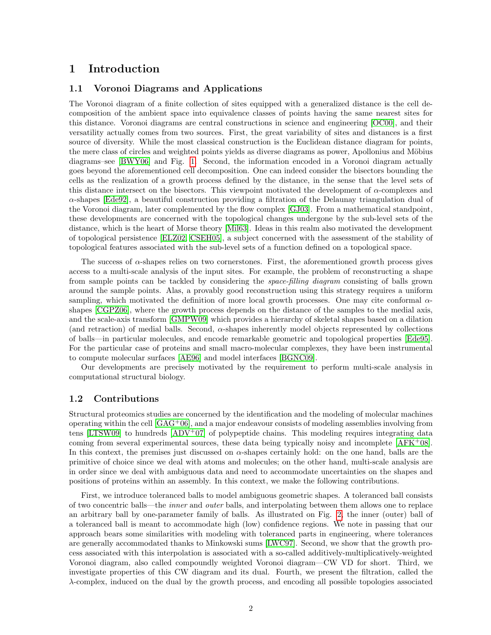### <span id="page-2-0"></span>1 Introduction

#### <span id="page-2-1"></span>1.1 Voronoi Diagrams and Applications

The Voronoi diagram of a finite collection of sites equipped with a generalized distance is the cell decomposition of the ambient space into equivalence classes of points having the same nearest sites for this distance. Voronoi diagrams are central constructions in science and engineering [\[OC00\]](#page-12-0), and their versatility actually comes from two sources. First, the great variability of sites and distances is a first source of diversity. While the most classical construction is the Euclidean distance diagram for points, the mere class of circles and weighted points yields as diverse diagrams as power, Apollonius and Möbius diagrams–see [\[BWY06\]](#page-11-0) and Fig. [1.](#page-13-0) Second, the information encoded in a Voronoi diagram actually goes beyond the aforementioned cell decomposition. One can indeed consider the bisectors bounding the cells as the realization of a growth process defined by the distance, in the sense that the level sets of this distance intersect on the bisectors. This viewpoint motivated the development of  $\alpha$ -complexes and α-shapes [\[Ede92\]](#page-11-1), a beautiful construction providing a filtration of the Delaunay triangulation dual of the Voronoi diagram, later complemented by the flow complex [\[GJ03\]](#page-12-1). From a mathematical standpoint, these developments are concerned with the topological changes undergone by the sub-level sets of the distance, which is the heart of Morse theory [\[Mil63\]](#page-12-2). Ideas in this realm also motivated the development of topological persistence [\[ELZ02,](#page-11-2) [CSEH05\]](#page-11-3), a subject concerned with the assessment of the stability of topological features associated with the sub-level sets of a function defined on a topological space.

The success of  $\alpha$ -shapes relies on two cornerstones. First, the aforementioned growth process gives access to a multi-scale analysis of the input sites. For example, the problem of reconstructing a shape from sample points can be tackled by considering the space-filling diagram consisting of balls grown around the sample points. Alas, a provably good reconstruction using this strategy requires a uniform sampling, which motivated the definition of more local growth processes. One may cite conformal  $\alpha$ shapes [\[CGPZ06\]](#page-11-4), where the growth process depends on the distance of the samples to the medial axis, and the scale-axis transform [\[GMPW09\]](#page-12-3) which provides a hierarchy of skeletal shapes based on a dilation (and retraction) of medial balls. Second,  $\alpha$ -shapes inherently model objects represented by collections of balls—in particular molecules, and encode remarkable geometric and topological properties [\[Ede95\]](#page-11-5). For the particular case of proteins and small macro-molecular complexes, they have been instrumental to compute molecular surfaces [\[AE96\]](#page-11-6) and model interfaces [\[BGNC09\]](#page-11-7).

Our developments are precisely motivated by the requirement to perform multi-scale analysis in computational structural biology.

#### <span id="page-2-2"></span>1.2 Contributions

Structural proteomics studies are concerned by the identification and the modeling of molecular machines operating within the cell  $[GAG^+06]$ , and a major endeavour consists of modeling assemblies involving from tens [\[LTSW09\]](#page-12-5) to hundreds  $[ADV^+07]$  of polypeptide chains. This modeling requires integrating data coming from several experimental sources, these data being typically noisy and incomplete [\[AFK](#page-11-9)<sup>+</sup>08]. In this context, the premises just discussed on  $\alpha$ -shapes certainly hold: on the one hand, balls are the primitive of choice since we deal with atoms and molecules; on the other hand, multi-scale analysis are in order since we deal with ambiguous data and need to accommodate uncertainties on the shapes and positions of proteins within an assembly. In this context, we make the following contributions.

First, we introduce toleranced balls to model ambiguous geometric shapes. A toleranced ball consists of two concentric balls—the inner and outer balls, and interpolating between them allows one to replace an arbitrary ball by one-parameter family of balls. As illustrated on Fig. [2,](#page-14-0) the inner (outer) ball of a toleranced ball is meant to accommodate high (low) confidence regions. We note in passing that our approach bears some similarities with modeling with toleranced parts in engineering, where tolerances are generally accommodated thanks to Minkowski sums [\[LWC97\]](#page-12-6). Second, we show that the growth process associated with this interpolation is associated with a so-called additively-multiplicatively-weighted Voronoi diagram, also called compoundly weighted Voronoi diagram—CW VD for short. Third, we investigate properties of this CW diagram and its dual. Fourth, we present the filtration, called the  $\lambda$ -complex, induced on the dual by the growth process, and encoding all possible topologies associated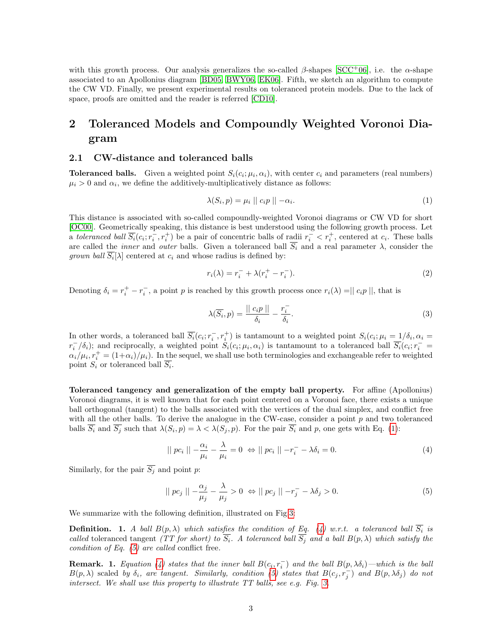with this growth process. Our analysis generalizes the so-called  $\beta$ -shapes [\[SCC](#page-12-7)+06], i.e. the  $\alpha$ -shape associated to an Apollonius diagram [\[BD05,](#page-11-10) [BWY06,](#page-11-0) [EK06\]](#page-11-11). Fifth, we sketch an algorithm to compute the CW VD. Finally, we present experimental results on toleranced protein models. Due to the lack of space, proofs are omitted and the reader is referred [\[CD10\]](#page-11-12).

## <span id="page-3-0"></span>2 Toleranced Models and Compoundly Weighted Voronoi Diagram

#### <span id="page-3-1"></span>2.1 CW-distance and toleranced balls

**Toleranced balls.** Given a weighted point  $S_i(c_i; \mu_i, \alpha_i)$ , with center  $c_i$  and parameters (real numbers)  $\mu_i > 0$  and  $\alpha_i$ , we define the additively-multiplicatively distance as follows:

<span id="page-3-2"></span>
$$
\lambda(S_i, p) = \mu_i \mid c_i p \mid -\alpha_i. \tag{1}
$$

This distance is associated with so-called compoundly-weighted Voronoi diagrams or CW VD for short [\[OC00\]](#page-12-0). Geometrically speaking, this distance is best understood using the following growth process. Let a toleranced ball  $\overline{S_i}(c_i; r_i^-, r_i^+)$  be a pair of concentric balls of radii  $r_i^-\lt r_i^+$ , centered at  $c_i$ . These balls are called the *inner* and *outer* balls. Given a toleranced ball  $\overline{S_i}$  and a real parameter  $\lambda$ , consider the *grown ball*  $S_i[\lambda]$  centered at  $c_i$  and whose radius is defined by:

$$
r_i(\lambda) = r_i^- + \lambda (r_i^+ - r_i^-). \tag{2}
$$

Denoting  $\delta_i = r_i^+ - r_i^-$ , a point p is reached by this growth process once  $r_i(\lambda) = ||c_i p||$ , that is

$$
\lambda(\overline{S_i}, p) = \frac{||c_i p||}{\delta_i} - \frac{r_i^-}{\delta_i}.
$$
\n(3)

In other words, a toleranced ball  $\overline{S_i}(c_i; r_i^-, r_i^+)$  is tantamount to a weighted point  $S_i(c_i; \mu_i = 1/\delta_i, \alpha_i =$  $r_i^-/\delta_i$ ); and reciprocally, a weighted point  $S_i(c_i;\mu_i,\alpha_i)$  is tantamount to a toleranced ball  $\overline{S_i}(c_i;r_i^ \alpha_i/\mu_i$ ,  $r_i^+ = (1+\alpha_i)/\mu_i$ ). In the sequel, we shall use both terminologies and exchangeable refer to weighted point  $S_i$  or toleranced ball  $S_i$ .

Toleranced tangency and generalization of the empty ball property. For affine (Apollonius) Voronoi diagrams, it is well known that for each point centered on a Voronoi face, there exists a unique ball orthogonal (tangent) to the balls associated with the vertices of the dual simplex, and conflict free with all the other balls. To derive the analogue in the CW-case, consider a point  $p$  and two toleranced balls  $S_i$  and  $S_j$  such that  $\lambda(S_i, p) = \lambda < \lambda(S_j, p)$ . For the pair  $S_i$  and p, one gets with Eq. [\(1\)](#page-3-2):

<span id="page-3-3"></span>
$$
|| pc_i || -\frac{\alpha_i}{\mu_i} - \frac{\lambda}{\mu_i} = 0 \Leftrightarrow || pc_i || -r_i^- - \lambda \delta_i = 0.
$$
\n
$$
(4)
$$

Similarly, for the pair  $\overline{S_i}$  and point p:

<span id="page-3-4"></span>
$$
\|pc_j\| - \frac{\alpha_j}{\mu_j} - \frac{\lambda}{\mu_j} > 0 \Leftrightarrow \|pc_j\| - r_j^- - \lambda \delta_j > 0.
$$
 (5)

We summarize with the following definition, illustrated on Fig[.3:](#page-14-1)

**Definition.** 1. A ball  $B(p, \lambda)$  which satisfies the condition of Eq. [\(4\)](#page-3-3) w.r.t. a toleranced ball  $S_i$  is called toleranced tangent (TT for short) to  $S_i$ . A toleranced ball  $S_j$  and a ball  $B(p, \lambda)$  which satisfy the condition of Eq. [\(5\)](#page-3-4) are called conflict free.

<span id="page-3-5"></span>**Remark.** 1. Equation [\(4\)](#page-3-3) states that the inner ball  $B(c_i, r_i^-)$  and the ball  $B(p, \lambda \delta_i)$ —which is the ball  $B(p,\lambda)$  scaled by  $\delta_i$ , are tangent. Similarly, condition [\(5\)](#page-3-4) states that  $B(c_j, r_j^-)$  and  $B(p,\lambda\delta_j)$  do not intersect. We shall use this property to illustrate TT balls, see e.g. Fig. [3.](#page-14-1)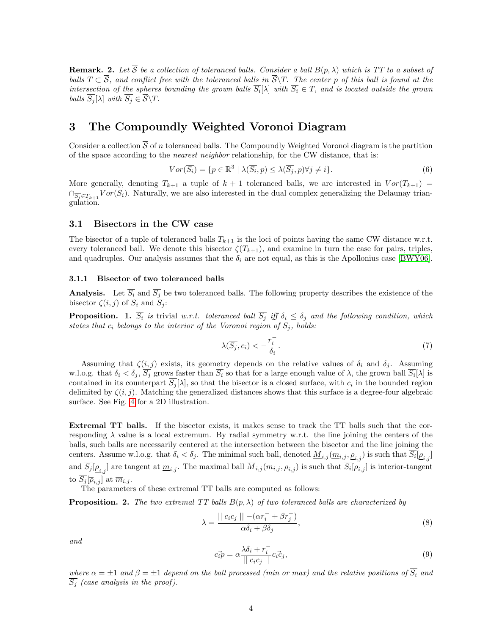**Remark.** 2. Let  $\overline{S}$  be a collection of toleranced balls. Consider a ball  $B(p, \lambda)$  which is TT to a subset of balls  $T \subset \overline{S}$ , and conflict free with the toleranced balls in  $\overline{S}\backslash T$ . The center p of this ball is found at the intersection of the spheres bounding the grown balls  $S_i[\lambda]$  with  $S_i \in T$ , and is located outside the grown balls  $\overline{S_i}[\lambda]$  with  $\overline{S_i} \in \overline{S} \backslash T$ .

## <span id="page-4-0"></span>3 The Compoundly Weighted Voronoi Diagram

Consider a collection  $\overline{S}$  of n toleranced balls. The Compoundly Weighted Voronoi diagram is the partition of the space according to the nearest neighbor relationship, for the CW distance, that is:

$$
Vor(\overline{S_i}) = \{p \in \mathbb{R}^3 \mid \lambda(\overline{S_i}, p) \le \lambda(\overline{S_j}, p) \forall j \neq i\}.
$$
\n
$$
(6)
$$

More generally, denoting  $T_{k+1}$  a tuple of  $k+1$  toleranced balls, we are interested in  $Vor(T_{k+1})$  $\bigcap_{\overline{S_i} \in T_{k+1}} \text{Vor}(S_i)$ . Naturally, we are also interested in the dual complex generalizing the Delaunay triangulation.

#### <span id="page-4-1"></span>3.1 Bisectors in the CW case

The bisector of a tuple of toleranced balls  $T_{k+1}$  is the loci of points having the same CW distance w.r.t. every toleranced ball. We denote this bisector  $\zeta(T_{k+1})$ , and examine in turn the case for pairs, triples, and quadruples. Our analysis assumes that the  $\delta_i$  are not equal, as this is the Apollonius case [\[BWY06\]](#page-11-0).

#### <span id="page-4-2"></span>3.1.1 Bisector of two toleranced balls

**Analysis.** Let  $S_i$  and  $S_j$  be two toleranced balls. The following property describes the existence of the bisector  $\zeta(i, j)$  of  $S_i$  and  $S_j$ :

<span id="page-4-3"></span>**Proposition.** 1.  $\overline{S_i}$  is trivial w.r.t. toleranced ball  $\overline{S_j}$  iff  $\delta_i \leq \delta_j$  and the following condition, which states that  $c_i$  belongs to the interior of the Voronoi region of  $\overline{S_i}$ , holds:

$$
\lambda(\overline{S_j}, c_i) < -\frac{r_i^-}{\delta_i}.\tag{7}
$$

Assuming that  $\zeta(i,j)$  exists, its geometry depends on the relative values of  $\delta_i$  and  $\delta_j$ . Assuming w.l.o.g. that  $\delta_i < \delta_j$ ,  $S_j$  grows faster than  $S_i$  so that for a large enough value of  $\lambda$ , the grown ball  $S_i[\lambda]$  is contained in its counterpart  $S_j[\lambda]$ , so that the bisector is a closed surface, with  $c_i$  in the bounded region delimited by  $\zeta(i, j)$ . Matching the generalized distances shows that this surface is a degree-four algebraic surface. See Fig. [4](#page-15-0) for a 2D illustration.

Extremal TT balls. If the bisector exists, it makes sense to track the TT balls such that the corresponding  $\lambda$  value is a local extremum. By radial symmetry w.r.t. the line joining the centers of the balls, such balls are necessarily centered at the intersection between the bisector and the line joining the centers. Assume w.l.o.g. that  $\delta_i < \delta_j$ . The minimal such ball, denoted  $\underline{M}_{i,j}(\underline{m}_{i,j},\underline{\rho}_{i,j})$  is such that  $S_i[\underline{\rho}_{i,j}]$ and  $S_j[\underline{\rho}_{i,j}]$  are tangent at  $\underline{m}_{i,j}$ . The maximal ball  $M_{i,j}(\overline{m}_{i,j}, \overline{\rho}_{i,j})$  is such that  $S_i[\overline{\rho}_{i,j}]$  is interior-tangent to  $S_j[\overline{\rho}_{i,j}]$  at  $\overline{m}_{i,j}$ .

The parameters of these extremal TT balls are computed as follows:

<span id="page-4-4"></span>**Proposition. 2.** The two extremal TT balls  $B(p, \lambda)$  of two toleranced balls are characterized by

$$
\lambda = \frac{||c_i c_j|| - (\alpha r_i^- + \beta r_j^-)}{\alpha \delta_i + \beta \delta_j},\tag{8}
$$

and

$$
c_i \vec{p} = \alpha \frac{\lambda \delta_i + r_i^-}{\| c_i c_j \|} c_i \vec{c}_j,\tag{9}
$$

where  $\alpha = \pm 1$  and  $\beta = \pm 1$  depend on the ball processed (min or max) and the relative positions of  $\overline{S_i}$  and  $\overline{S_i}$  (case analysis in the proof).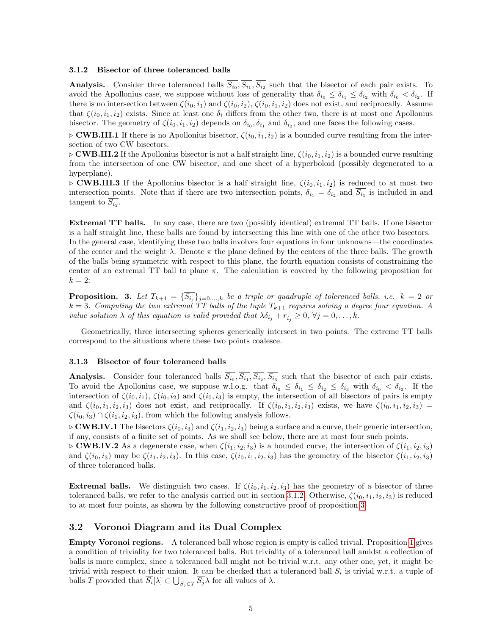#### <span id="page-5-0"></span>3.1.2 Bisector of three toleranced balls

**Analysis.** Consider three toleranced balls  $S_{i_0}, S_{i_1}, S_{i_2}$  such that the bisector of each pair exists. To avoid the Apollonius case, we suppose without loss of generality that  $\delta_{i_0} \leq \delta_{i_1} \leq \delta_{i_2}$  with  $\delta_{i_0} < \delta_{i_2}$ . If there is no intersection between  $\zeta(i_0, i_1)$  and  $\zeta(i_0, i_2)$ ,  $\zeta(i_0, i_1, i_2)$  does not exist, and reciprocally. Assume that  $\zeta(i_0, i_1, i_2)$  exists. Since at least one  $\delta_i$  differs from the other two, there is at most one Apollonius bisector. The geometry of  $\zeta(i_0, i_1, i_2)$  depends on  $\delta_{i_0}, \delta_{i_1}$  and  $\delta_{i_2}$ , and one faces the following cases.

 $\triangleright$  **CWB.III.1** If there is no Apollonius bisector,  $\zeta(i_0, i_1, i_2)$  is a bounded curve resulting from the intersection of two CW bisectors.

 $\triangleright$  CWB.III.2 If the Apollonius bisector is not a half straight line,  $\zeta(i_0, i_1, i_2)$  is a bounded curve resulting from the intersection of one CW bisector, and one sheet of a hyperboloid (possibly degenerated to a hyperplane).

 $\triangleright$  **CWB.III.3** If the Apollonius bisector is a half straight line,  $\zeta(i_0, i_1, i_2)$  is reduced to at most two intersection points. Note that if there are two intersection points,  $\delta_{i_1} = \delta_{i_2}$  and  $S_{i_1}$  is included in and tangent to  $S_{i_2}$ .

Extremal TT balls. In any case, there are two (possibly identical) extremal TT balls. If one bisector is a half straight line, these balls are found by intersecting this line with one of the other two bisectors.

In the general case, identifying these two balls involves four equations in four unknowns—the coordinates of the center and the weight  $\lambda$ . Denote  $\pi$  the plane defined by the centers of the three balls. The growth of the balls being symmetric with respect to this plane, the fourth equation consists of constraining the center of an extremal TT ball to plane  $\pi$ . The calculation is covered by the following proposition for  $k=2$ :

<span id="page-5-3"></span>**Proposition.** 3. Let  $T_{k+1} = \{S_{i_j}\}_{j=0,\dots,k}$  be a triple or quadruple of toleranced balls, i.e.  $k = 2$  or  $k = 3$ . Computing the two extremal TT balls of the tuple  $T_{k+1}$  requires solving a degree four equation. A value solution  $\lambda$  of this equation is valid provided that  $\lambda \delta_{i_j} + r_{i_j}^- \geq 0$ ,  $\forall j = 0, \ldots, k$ .

Geometrically, three intersecting spheres generically intersect in two points. The extreme TT balls correspond to the situations where these two points coalesce.

#### <span id="page-5-1"></span>3.1.3 Bisector of four toleranced balls

**Analysis.** Consider four toleranced balls  $S_{i_0}, S_{i_1}, S_{i_2}, S_{i_3}$  such that the bisector of each pair exists. To avoid the Apollonius case, we suppose w.l.o.g. that  $\delta_{i_0} \leq \delta_{i_1} \leq \delta_{i_2} \leq \delta_{i_3}$  with  $\delta_{i_0} < \delta_{i_3}$ . If the intersection of  $\zeta(i_0, i_1)$ ,  $\zeta(i_0, i_2)$  and  $\zeta(i_0, i_3)$  is empty, the intersection of all bisectors of pairs is empty and  $\zeta(i_0, i_1, i_2, i_3)$  does not exist, and reciprocally. If  $\zeta(i_0, i_1, i_2, i_3)$  exists, we have  $\zeta(i_0, i_1, i_2, i_3)$  =  $\zeta(i_0, i_3) \cap \zeta(i_1, i_2, i_3)$ , from which the following analysis follows.

 $\triangleright$  **CWB.IV.1** The bisectors  $\zeta(i_0, i_3)$  and  $\zeta(i_1, i_2, i_3)$  being a surface and a curve, their generic intersection, if any, consists of a finite set of points. As we shall see below, there are at most four such points.

 $\triangleright$  **CWB.IV.2** As a degenerate case, when  $\zeta(i_1, i_2, i_3)$  is a bounded curve, the intersection of  $\zeta(i_1, i_2, i_3)$ and  $\zeta(i_0, i_3)$  may be  $\zeta(i_1, i_2, i_3)$ . In this case,  $\zeta(i_0, i_1, i_2, i_3)$  has the geometry of the bisector  $\zeta(i_1, i_2, i_3)$ of three toleranced balls.

**Extremal balls.** We distinguish two cases. If  $\zeta(i_0, i_1, i_2, i_3)$  has the geometry of a bisector of three toleranced balls, we refer to the analysis carried out in section [3.1.2.](#page-5-0) Otherwise,  $\zeta(i_0, i_1, i_2, i_3)$  is reduced to at most four points, as shown by the following constructive proof of proposition [3:](#page-5-3)

#### <span id="page-5-2"></span>3.2 Voronoi Diagram and its Dual Complex

Empty Voronoi regions. A toleranced ball whose region is empty is called trivial. Proposition [1](#page-4-3) gives a condition of triviality for two toleranced balls. But triviality of a toleranced ball amidst a collection of balls is more complex, since a toleranced ball might not be trivial w.r.t. any other one, yet, it might be trivial with respect to their union. It can be checked that a toleranced ball  $S_i$  is trivial w.r.t. a tuple of balls T provided that  $S_i[\lambda] \subset \bigcup_{\overline{S_j} \in T} S_j \lambda$  for all values of  $\lambda$ .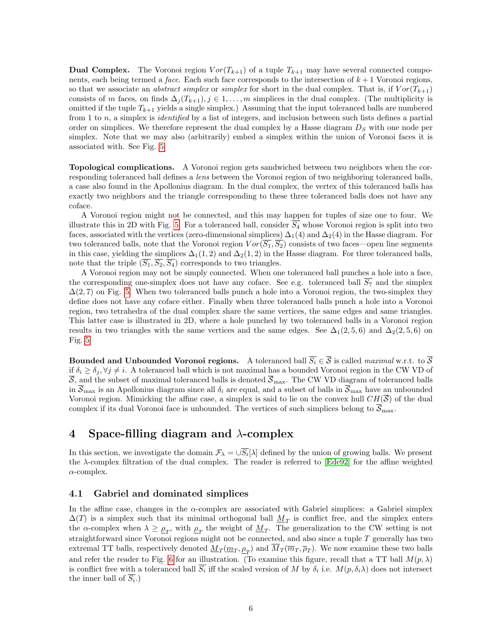**Dual Complex.** The Voronoi region  $Vor(T_{k+1})$  of a tuple  $T_{k+1}$  may have several connected components, each being termed a *face*. Each such face corresponds to the intersection of  $k + 1$  Voronoi regions, so that we associate an *abstract simplex* or *simplex* for short in the dual complex. That is, if  $Vor(T_{k+1})$ consists of m faces, on finds  $\Delta_i(T_{k+1}), j \in 1, \ldots, m$  simplices in the dual complex. (The multiplicity is omitted if the tuple  $T_{k+1}$  yields a single simplex.) Assuming that the input toleranced balls are numbered from 1 to  $n$ , a simplex is *identified* by a list of integers, and inclusion between such lists defines a partial order on simplices. We therefore represent the dual complex by a Hasse diagram  $D<sub>S</sub>$  with one node per simplex. Note that we may also (arbitrarily) embed a simplex within the union of Voronoi faces it is associated with. See Fig. [5.](#page-16-0)

Topological complications. A Voronoi region gets sandwiched between two neighbors when the corresponding toleranced ball defines a *lens* between the Voronoi region of two neighboring toleranced balls. a case also found in the Apollonius diagram. In the dual complex, the vertex of this toleranced balls has exactly two neighbors and the triangle corresponding to these three toleranced balls does not have any coface.

A Voronoi region might not be connected, and this may happen for tuples of size one to four. We illustrate this in 2D with Fig. [5.](#page-16-0) For a toleranced ball, consider  $\overline{S_4}$  whose Voronoi region is split into two faces, associated with the vertices (zero-dimensional simplices)  $\Delta_1(4)$  and  $\Delta_2(4)$  in the Hasse diagram. For two toleranced balls, note that the Voronoi region  $Vor(\overline{S_1}, \overline{S_2})$  consists of two faces—open line segments in this case, yielding the simplices  $\Delta_1(1,2)$  and  $\Delta_2(1,2)$  in the Hasse diagram. For three toleranced balls, note that the triple  $(\overline{S_1}, \overline{S_2}, \overline{S_4})$  corresponds to two triangles.

A Voronoi region may not be simply connected. When one toleranced ball punches a hole into a face, the corresponding one-simplex does not have any coface. See e.g. toleranced ball  $\overline{S_7}$  and the simplex  $\Delta(2, 7)$  on Fig. [5.](#page-16-0) When two toleranced balls punch a hole into a Voronoi region, the two-simplex they define does not have any coface either. Finally when three toleranced balls punch a hole into a Voronoi region, two tetrahedra of the dual complex share the same vertices, the same edges and same triangles. This latter case is illustrated in 2D, where a hole punched by two toleranced balls in a Voronoi region results in two triangles with the same vertices and the same edges. See  $\Delta_1(2,5,6)$  and  $\Delta_2(2,5,6)$  on Fig. [5.](#page-16-0)

Bounded and Unbounded Voronoi regions. A toleranced ball  $\overline{S_i} \in \overline{S}$  is called maximal w.r.t. to  $\overline{S}$ if  $\delta_i \ge \delta_j$ ,  $\forall j \ne i$ . A toleranced ball which is not maximal has a bounded Voronoi region in the CW VD of  $\overline{S}$ , and the subset of maximal toleranced balls is denoted  $\overline{S}_{\text{max}}$ . The CW VD diagram of toleranced balls in  $\overline{S}_{\text{max}}$  is an Apollonius diagram since all  $\delta_i$  are equal, and a subset of balls in  $\overline{S}_{\text{max}}$  have an unbounded Voronoi region. Mimicking the affine case, a simplex is said to lie on the convex hull  $CH(\overline{S})$  of the dual complex if its dual Voronoi face is unbounded. The vertices of such simplices belong to  $\overline{S}_{\text{max}}$ .

## <span id="page-6-0"></span>4 Space-filling diagram and  $\lambda$ -complex

In this section, we investigate the domain  $\mathcal{F}_{\lambda} = \bigcup S_i[\lambda]$  defined by the union of growing balls. We present the λ-complex filtration of the dual complex. The reader is referred to [\[Ede92\]](#page-11-1) for the affine weighted  $\alpha$ -complex.

#### <span id="page-6-1"></span>4.1 Gabriel and dominated simplices

In the affine case, changes in the  $\alpha$ -complex are associated with Gabriel simplices: a Gabriel simplex  $\Delta(T)$  is a simplex such that its minimal orthogonal ball  $M_T$  is conflict free, and the simplex enters the  $\alpha$ -complex when  $\lambda \geq \rho_T$ , with  $\rho_T$  the weight of  $M_T$ . The generalization to the CW setting is not straightforward since Voronoi regions might not be connected, and also since a tuple T generally has two extremal TT balls, respectively denoted  $\underline{M}_T(\underline{m}_T,\underline{\rho}_T)$  and  $M_T(\overline{m}_T,\overline{\rho}_T)$ . We now examine these two balls and refer the reader to Fig. [6](#page-17-0) for an illustration. (To examine this figure, recall that a TT ball  $M(p, \lambda)$ ) is conflict free with a toleranced ball  $S_i$  iff the scaled version of M by  $\delta_i$  i.e.  $M(p, \delta_i \lambda)$  does not intersect the inner ball of  $S_i$ .)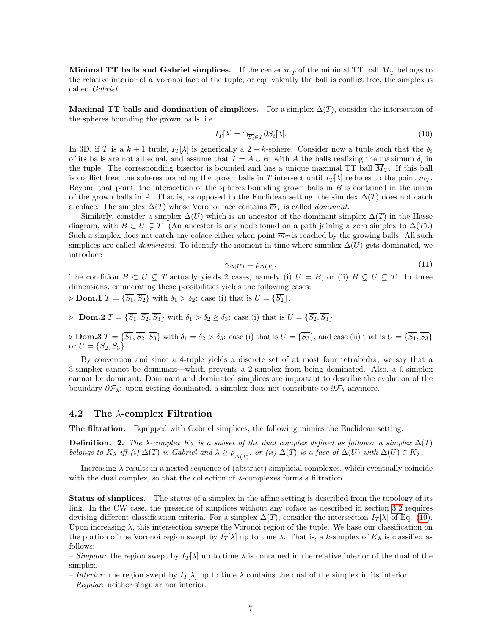**Minimal TT balls and Gabriel simplices.** If the center  $m<sub>T</sub>$  of the minimal TT ball  $M<sub>T</sub>$  belongs to the relative interior of a Voronoi face of the tuple, or equivalently the ball is conflict free, the simplex is called Gabriel.

Maximal TT balls and domination of simplices. For a simplex  $\Delta(T)$ , consider the intersection of the spheres bounding the grown balls, i.e.

<span id="page-7-1"></span>
$$
I_T[\lambda] = \cap_{\overline{S_i} \in T} \partial \overline{S_i}[\lambda]. \tag{10}
$$

In 3D, if T is a  $k + 1$  tuple,  $I_T[\lambda]$  is generically a 2 – k-sphere. Consider now a tuple such that the  $\delta_i$ of its balls are not all equal, and assume that  $T = A \cup B$ , with A the balls realizing the maximum  $\delta_i$  in the tuple. The corresponding bisector is bounded and has a unique maximal TT ball  $\overline{M}_{T}$ . If this ball is conflict free, the spheres bounding the grown balls in T intersect until  $I_T[\lambda]$  reduces to the point  $\overline{m}_T$ . Beyond that point, the intersection of the spheres bounding grown balls in  $B$  is contained in the union of the grown balls in A. That is, as opposed to the Euclidean setting, the simplex  $\Delta(T)$  does not catch a coface. The simplex  $\Delta(T)$  whose Voronoi face contains  $\overline{m}_T$  is called *dominant*.

Similarly, consider a simplex  $\Delta(U)$  which is an ancestor of the dominant simplex  $\Delta(T)$  in the Hasse diagram, with  $B \subset U \subset T$ . (An ancestor is any node found on a path joining a zero simplex to  $\Delta(T)$ .) Such a simplex does not catch any coface either when point  $\overline{m}_T$  is reached by the growing balls. All such simplices are called *dominated*. To identify the moment in time where simplex  $\Delta(U)$  gets dominated, we introduce

<span id="page-7-2"></span>
$$
\gamma_{\Delta(U)} = \overline{\rho}_{\Delta(T)}.\tag{11}
$$

The condition  $B \subset U \subsetneq T$  actually yields 2 cases, namely (i)  $U = B$ , or (ii)  $B \subsetneq U \subsetneq T$ . In three dimensions, enumerating these possibilities yields the following cases:  $\triangleright$  **Dom.1**  $T = {\overline{S_1}, \overline{S_2}}$  with  $\delta_1 > \delta_2$ : case (i) that is  $U = {\overline{S_2}}$ .

 $\triangleright$  Dom.2  $T = {\overline{S_1}, \overline{S_2}, \overline{S_3}}$  with  $\delta_1 > \delta_2 \geq \delta_3$ : case (i) that is  $U = {\overline{S_2}, \overline{S_3}}$ .

 $\triangleright$  Dom.3  $T = \{S_1, S_2, S_3\}$  with  $\delta_1 = \delta_2 > \delta_3$ : case (i) that is  $U = \{S_3\}$ , and case (ii) that is  $U = \{S_1, S_3\}$ or  $U = \{S_2, S_3\}.$ 

By convention and since a 4-tuple yields a discrete set of at most four tetrahedra, we say that a 3-simplex cannot be dominant—which prevents a 2-simplex from being dominated. Also, a 0-simplex cannot be dominant. Dominant and dominated simplices are important to describe the evolution of the boundary  $\partial \mathcal{F}_\lambda$ : upon getting dominated, a simplex does not contribute to  $\partial \mathcal{F}_\lambda$  anymore.

#### <span id="page-7-0"></span>4.2 The  $\lambda$ -complex Filtration

The filtration. Equipped with Gabriel simplices, the following mimics the Euclidean setting:

**Definition.** 2. The  $\lambda$ -complex  $K_\lambda$  is a subset of the dual complex defined as follows: a simplex  $\Delta(T)$ belongs to  $K_\lambda$  iff (i)  $\Delta(T)$  is Gabriel and  $\lambda \geq \rho_{\Delta(T)}$ , or (ii)  $\Delta(T)$  is a face of  $\Delta(U)$  with  $\Delta(U) \in K_\lambda$ .

Increasing  $\lambda$  results in a nested sequence of (abstract) simplicial complexes, which eventually coincide with the dual complex, so that the collection of  $\lambda$ -complexes forms a filtration.

Status of simplices. The status of a simplex in the affine setting is described from the topology of its link. In the CW case, the presence of simplices without any coface as described in section [3.2](#page-5-2) requires devising different classification criteria. For a simplex  $\Delta(T)$ , consider the intersection  $I_T[\lambda]$  of Eq. [\(10\)](#page-7-1). Upon increasing  $\lambda$ , this intersection sweeps the Voronoi region of the tuple. We base our classification on the portion of the Voronoi region swept by  $I_T[\lambda]$  up to time  $\lambda$ . That is, a k-simplex of  $K_\lambda$  is classified as follows:

– Singular: the region swept by  $I_T[\lambda]$  up to time  $\lambda$  is contained in the relative interior of the dual of the simplex.

– Interior: the region swept by  $I_T[\lambda]$  up to time  $\lambda$  contains the dual of the simplex in its interior.

– Regular: neither singular nor interior.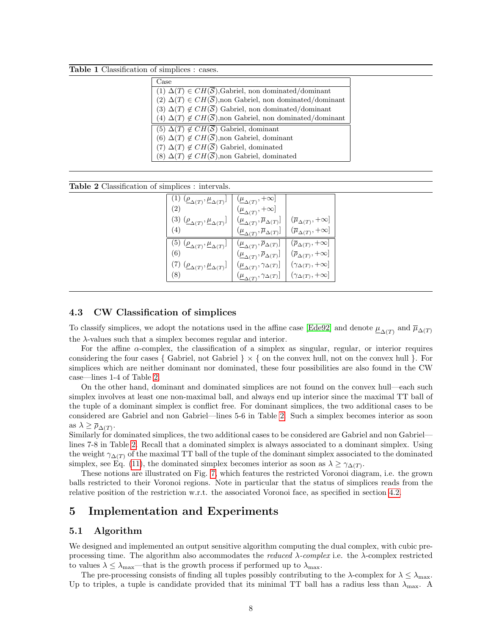Table 1 Classification of simplices : cases.

| Case                                                                             |
|----------------------------------------------------------------------------------|
| $\overline{(1) \Delta(T)} \in CH(\overline{S}),$ Gabriel, non dominated/dominant |
| (2) $\Delta(T) \in CH(\overline{S})$ , non Gabriel, non dominated/dominant       |
| (3) $\Delta(T) \notin CH(\overline{S})$ Gabriel, non dominated/dominant          |
| (4) $\Delta(T) \notin CH(\overline{S})$ , non Gabriel, non dominated/dominant    |
| (5) $\Delta(T) \notin CH(\overline{S})$ Gabriel, dominant                        |
| (6) $\Delta(T) \notin CH(\overline{S})$ , non Gabriel, dominant                  |
| $(7) \Delta(T) \notin CH(\overline{S})$ Gabriel, dominated                       |
| (8) $\Delta(T) \notin CH(\overline{S})$ , non Gabriel, dominated                 |

<span id="page-8-3"></span>

| Table 2 Classification of simplices : intervals. |  |  |  |  |
|--------------------------------------------------|--|--|--|--|
|--------------------------------------------------|--|--|--|--|

| (1) $(\underline{\rho}_{\Delta(T)}, \underline{\mu}_{\Delta(T)}]$<br>(2) | $(\underline{\mu}_{\Delta(T)}, +\infty]$                                                                |                                         |
|--------------------------------------------------------------------------|---------------------------------------------------------------------------------------------------------|-----------------------------------------|
| (3) $(\underline{\rho}_{\Delta(T)},\underline{\mu}_{\Delta(T)}]$         | $(\underline{\mu}_{\Delta(T)}, +\infty]$<br>$(\underline{\mu}_{\Delta(T)}, \overline{\mu}_{\Delta(T)}]$ | $(\overline{\mu}_{\Delta(T)},+\infty]$  |
| (4)                                                                      | $(\underline{\mu}_{\Delta(T)},\overline{\mu}_{\Delta(T)}]$                                              | $(\overline{\mu}_{\Delta(T)},+\infty]$  |
| (5) $(\underline{\rho}_{\Delta(T)}, \underline{\mu}_{\Delta(T)}]$        | $(\underline{\mu}_{\Delta(T)}, \overline{\rho}_{\Delta(T)}]$                                            | $(\overline{\rho}_{\Delta(T)},+\infty]$ |
| (6)                                                                      | $(\underline{\mu}_{\Delta(T)}, \overline{\rho}_{\Delta(T)})$                                            | $(\overline{\rho}_{\Delta(T)},+\infty]$ |
| (7) $(\underline{\rho}_{\Delta(T)},\underline{\mu}_{\Delta(T)}]$         | $(\underline{\mu}_{\Delta(T)}, \gamma_{\Delta(T)})$                                                     | $(\gamma_{\Delta(T)},+\infty]$          |
| (8)                                                                      | $(\underline{\mu}_{\Delta(T)}, \gamma_{\Delta(T)}]$                                                     | $(\gamma_{\Delta(T)},+\infty]$          |

#### <span id="page-8-0"></span>4.3 CW Classification of simplices

To classify simplices, we adopt the notations used in the affine case [\[Ede92\]](#page-11-1) and denote  $\underline{\mu}_{\Delta(T)}$  and  $\overline{\mu}_{\Delta(T)}$ the  $\lambda$ -values such that a simplex becomes regular and interior.

For the affine  $\alpha$ -complex, the classification of a simplex as singular, regular, or interior requires considering the four cases { Gabriel, not Gabriel  $\} \times$  { on the convex hull, not on the convex hull }. For simplices which are neither dominant nor dominated, these four possibilities are also found in the CW case—lines 1-4 of Table [2.](#page-8-3)

On the other hand, dominant and dominated simplices are not found on the convex hull—each such simplex involves at least one non-maximal ball, and always end up interior since the maximal TT ball of the tuple of a dominant simplex is conflict free. For dominant simplices, the two additional cases to be considered are Gabriel and non Gabriel—lines 5-6 in Table [2.](#page-8-3) Such a simplex becomes interior as soon as  $\lambda \geq \overline{\rho}_{\Delta(T)}$ .

Similarly for dominated simplices, the two additional cases to be considered are Gabriel and non Gabriel lines 7-8 in Table [2.](#page-8-3) Recall that a dominated simplex is always associated to a dominant simplex. Using the weight  $\gamma_{\Delta(T)}$  of the maximal TT ball of the tuple of the dominant simplex associated to the dominated simplex, see Eq. [\(11\)](#page-7-2), the dominated simplex becomes interior as soon as  $\lambda \geq \gamma_{\Delta(T)}$ .

These notions are illustrated on Fig. [7,](#page-18-0) which features the restricted Voronoi diagram, i.e. the grown balls restricted to their Voronoi regions. Note in particular that the status of simplices reads from the relative position of the restriction w.r.t. the associated Voronoi face, as specified in section [4.2.](#page-7-0)

## <span id="page-8-1"></span>5 Implementation and Experiments

#### <span id="page-8-2"></span>5.1 Algorithm

We designed and implemented an output sensitive algorithm computing the dual complex, with cubic preprocessing time. The algorithm also accommodates the *reduced*  $\lambda$ -complex i.e. the  $\lambda$ -complex restricted to values  $\lambda \leq \lambda_{\text{max}}$ —that is the growth process if performed up to  $\lambda_{\text{max}}$ .

The pre-processing consists of finding all tuples possibly contributing to the  $\lambda$ -complex for  $\lambda \leq \lambda_{\max}$ . Up to triples, a tuple is candidate provided that its minimal TT ball has a radius less than  $\lambda_{\text{max}}$ . A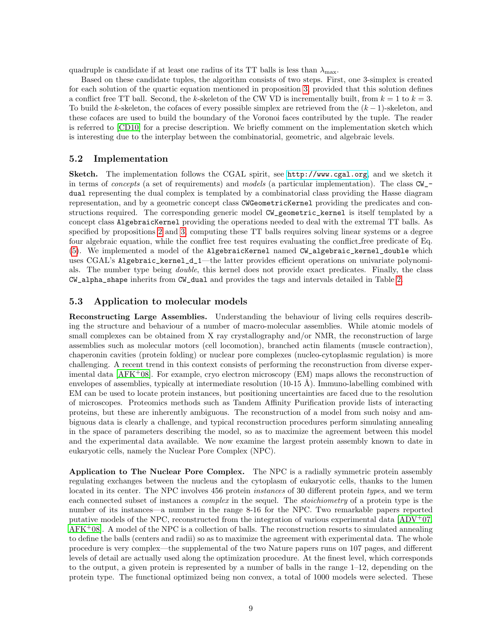quadruple is candidate if at least one radius of its TT balls is less than  $\lambda_{\text{max}}$ .

Based on these candidate tuples, the algorithm consists of two steps. First, one 3-simplex is created for each solution of the quartic equation mentioned in proposition [3,](#page-5-3) provided that this solution defines a conflict free TT ball. Second, the k-skeleton of the CW VD is incrementally built, from  $k = 1$  to  $k = 3$ . To build the k-skeleton, the cofaces of every possible simplex are retrieved from the  $(k-1)$ -skeleton, and these cofaces are used to build the boundary of the Voronoi faces contributed by the tuple. The reader is referred to [\[CD10\]](#page-11-12) for a precise description. We briefly comment on the implementation sketch which is interesting due to the interplay between the combinatorial, geometric, and algebraic levels.

#### <span id="page-9-0"></span>5.2 Implementation

Sketch. The implementation follows the CGAL spirit, see <http://www.cgal.org>, and we sketch it in terms of *concepts* (a set of requirements) and models (a particular implementation). The class  $CW_-\text{-}$ dual representing the dual complex is templated by a combinatorial class providing the Hasse diagram representation, and by a geometric concept class CWGeometricKernel providing the predicates and constructions required. The corresponding generic model CW\_geometric\_kernel is itself templated by a concept class AlgebraicKernel providing the operations needed to deal with the extremal TT balls. As specified by propositions [2](#page-4-4) and [3,](#page-5-3) computing these TT balls requires solving linear systems or a degree four algebraic equation, while the conflict free test requires evaluating the conflict free predicate of Eq. [\(5\)](#page-3-4). We implemented a model of the AlgebraicKernel named CW\_algebraic\_kernel\_double which uses CGAL's Algebraic\_kernel\_d\_1—the latter provides efficient operations on univariate polynomials. The number type being double, this kernel does not provide exact predicates. Finally, the class CW\_alpha\_shape inherits from CW\_dual and provides the tags and intervals detailed in Table [2.](#page-8-3)

#### <span id="page-9-1"></span>5.3 Application to molecular models

Reconstructing Large Assemblies. Understanding the behaviour of living cells requires describing the structure and behaviour of a number of macro-molecular assemblies. While atomic models of small complexes can be obtained from X ray crystallography and/or NMR, the reconstruction of large assemblies such as molecular motors (cell locomotion), branched actin filaments (muscle contraction), chaperonin cavities (protein folding) or nuclear pore complexes (nucleo-cytoplasmic regulation) is more challenging. A recent trend in this context consists of performing the reconstruction from diverse experimental data  $[AFK^+08]$ . For example, cryo electron microscopy  $(EM)$  maps allows the reconstruction of envelopes of assemblies, typically at intermediate resolution  $(10-15 \text{ Å})$ . Immuno-labelling combined with EM can be used to locate protein instances, but positioning uncertainties are faced due to the resolution of microscopes. Proteomics methods such as Tandem Affinity Purification provide lists of interacting proteins, but these are inherently ambiguous. The reconstruction of a model from such noisy and ambiguous data is clearly a challenge, and typical reconstruction procedures perform simulating annealing in the space of parameters describing the model, so as to maximize the agreement between this model and the experimental data available. We now examine the largest protein assembly known to date in eukaryotic cells, namely the Nuclear Pore Complex (NPC).

Application to The Nuclear Pore Complex. The NPC is a radially symmetric protein assembly regulating exchanges between the nucleus and the cytoplasm of eukaryotic cells, thanks to the lumen located in its center. The NPC involves 456 protein instances of 30 different protein types, and we term each connected subset of instances a *complex* in the sequel. The *stoichiometry* of a protein type is the number of its instances—a number in the range 8-16 for the NPC. Two remarkable papers reported putative models of the NPC, reconstructed from the integration of various experimental data  $[ADV^+07,$  $AFK<sup>+</sup>08$  $AFK<sup>+</sup>08$ . A model of the NPC is a collection of balls. The reconstruction resorts to simulated annealing to define the balls (centers and radii) so as to maximize the agreement with experimental data. The whole procedure is very complex—the supplemental of the two Nature papers runs on 107 pages, and different levels of detail are actually used along the optimization procedure. At the finest level, which corresponds to the output, a given protein is represented by a number of balls in the range  $1-12$ , depending on the protein type. The functional optimized being non convex, a total of 1000 models were selected. These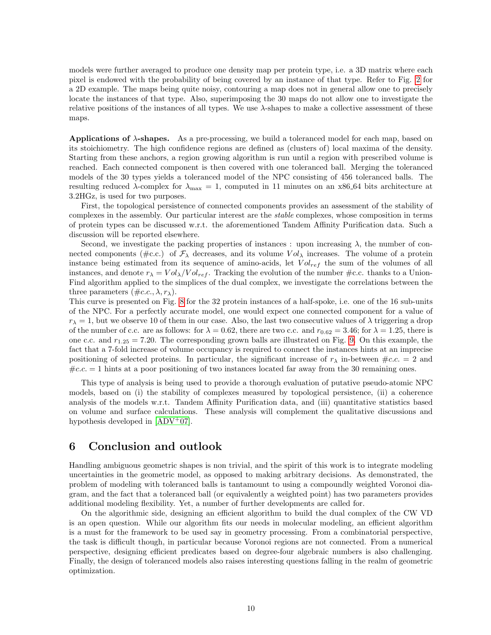models were further averaged to produce one density map per protein type, i.e. a 3D matrix where each pixel is endowed with the probability of being covered by an instance of that type. Refer to Fig. [2](#page-14-0) for a 2D example. The maps being quite noisy, contouring a map does not in general allow one to precisely locate the instances of that type. Also, superimposing the 30 maps do not allow one to investigate the relative positions of the instances of all types. We use  $\lambda$ -shapes to make a collective assessment of these maps.

Applications of λ-shapes. As a pre-processing, we build a toleranced model for each map, based on its stoichiometry. The high confidence regions are defined as (clusters of) local maxima of the density. Starting from these anchors, a region growing algorithm is run until a region with prescribed volume is reached. Each connected component is then covered with one toleranced ball. Merging the toleranced models of the 30 types yields a toleranced model of the NPC consisting of 456 toleranced balls. The resulting reduced  $\lambda$ -complex for  $\lambda_{\text{max}} = 1$ , computed in 11 minutes on an x86.64 bits architecture at 3.2HGz, is used for two purposes.

First, the topological persistence of connected components provides an assessment of the stability of complexes in the assembly. Our particular interest are the stable complexes, whose composition in terms of protein types can be discussed w.r.t. the aforementioned Tandem Affinity Purification data. Such a discussion will be reported elsewhere.

Second, we investigate the packing properties of instances : upon increasing  $\lambda$ , the number of connected components ( $\#c.c.$ ) of  $\mathcal{F}_{\lambda}$  decreases, and its volume V $ol_{\lambda}$  increases. The volume of a protein instance being estimated from its sequence of amino-acids, let  $Vol_{ref}$  the sum of the volumes of all instances, and denote  $r_{\lambda} = Vol_{\lambda}/Vol_{ref}$ . Tracking the evolution of the number #c.c. thanks to a Union-Find algorithm applied to the simplices of the dual complex, we investigate the correlations between the three parameters  $(\text{\#c.c.}, \lambda, r_\lambda)$ .

This curve is presented on Fig. [8](#page-18-1) for the 32 protein instances of a half-spoke, i.e. one of the 16 sub-units of the NPC. For a perfectly accurate model, one would expect one connected component for a value of  $r_{\lambda} = 1$ , but we observe 10 of them in our case. Also, the last two consecutive values of  $\lambda$  triggering a drop of the number of c.c. are as follows: for  $\lambda = 0.62$ , there are two c.c. and  $r_{0.62} = 3.46$ ; for  $\lambda = 1.25$ , there is one c.c. and  $r_{1.25} = 7.20$ . The corresponding grown balls are illustrated on Fig. [9.](#page-19-0) On this example, the fact that a 7-fold increase of volume occupancy is required to connect the instances hints at an imprecise positioning of selected proteins. In particular, the significant increase of  $r<sub>\lambda</sub>$  in-between  $\#c.c. = 2$  and  $\#c.c. = 1$  hints at a poor positioning of two instances located far away from the 30 remaining ones.

This type of analysis is being used to provide a thorough evaluation of putative pseudo-atomic NPC models, based on (i) the stability of complexes measured by topological persistence, (ii) a coherence analysis of the models w.r.t. Tandem Affinity Purification data, and (iii) quantitative statistics based on volume and surface calculations. These analysis will complement the qualitative discussions and hypothesis developed in [\[ADV](#page-11-8)+07].

## <span id="page-10-0"></span>6 Conclusion and outlook

Handling ambiguous geometric shapes is non trivial, and the spirit of this work is to integrate modeling uncertainties in the geometric model, as opposed to making arbitrary decisions. As demonstrated, the problem of modeling with toleranced balls is tantamount to using a compoundly weighted Voronoi diagram, and the fact that a toleranced ball (or equivalently a weighted point) has two parameters provides additional modeling flexibility. Yet, a number of further developments are called for.

On the algorithmic side, designing an efficient algorithm to build the dual complex of the CW VD is an open question. While our algorithm fits our needs in molecular modeling, an efficient algorithm is a must for the framework to be used say in geometry processing. From a combinatorial perspective, the task is difficult though, in particular because Voronoi regions are not connected. From a numerical perspective, designing efficient predicates based on degree-four algebraic numbers is also challenging. Finally, the design of toleranced models also raises interesting questions falling in the realm of geometric optimization.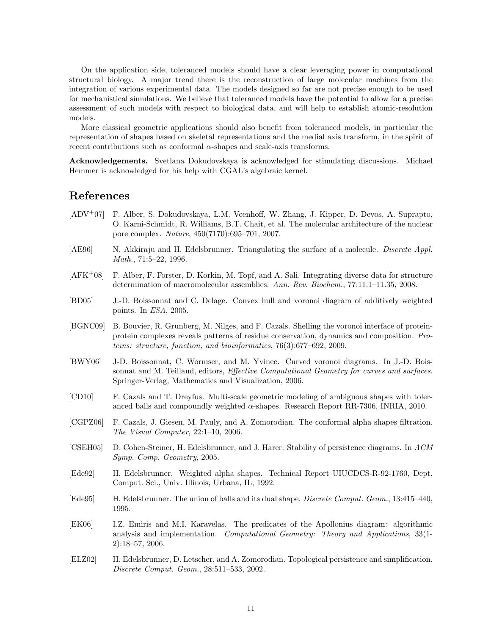On the application side, toleranced models should have a clear leveraging power in computational structural biology. A major trend there is the reconstruction of large molecular machines from the integration of various experimental data. The models designed so far are not precise enough to be used for mechanistical simulations. We believe that toleranced models have the potential to allow for a precise assessment of such models with respect to biological data, and will help to establish atomic-resolution models.

More classical geometric applications should also benefit from toleranced models, in particular the representation of shapes based on skeletal representations and the medial axis transform, in the spirit of recent contributions such as conformal α-shapes and scale-axis transforms.

Acknowledgements. Svetlana Dokudovskaya is acknowledged for stimulating discussions. Michael Hemmer is acknowledged for his help with CGAL's algebraic kernel.

## References

- <span id="page-11-8"></span>[ADV+07] F. Alber, S. Dokudovskaya, L.M. Veenhoff, W. Zhang, J. Kipper, D. Devos, A. Suprapto, O. Karni-Schmidt, R. Williams, B.T. Chait, et al. The molecular architecture of the nuclear pore complex. Nature, 450(7170):695–701, 2007.
- <span id="page-11-6"></span>[AE96] N. Akkiraju and H. Edelsbrunner. Triangulating the surface of a molecule. *Discrete Appl.* Math., 71:5–22, 1996.
- <span id="page-11-9"></span>[AFK<sup>+</sup>08] F. Alber, F. Forster, D. Korkin, M. Topf, and A. Sali. Integrating diverse data for structure determination of macromolecular assemblies. Ann. Rev. Biochem., 77:11.1–11.35, 2008.
- <span id="page-11-10"></span>[BD05] J.-D. Boissonnat and C. Delage. Convex hull and voronoi diagram of additively weighted points. In ESA, 2005.
- <span id="page-11-7"></span>[BGNC09] B. Bouvier, R. Grunberg, M. Nilges, and F. Cazals. Shelling the voronoi interface of proteinprotein complexes reveals patterns of residue conservation, dynamics and composition. Proteins: structure, function, and bioinformatics, 76(3):677–692, 2009.
- <span id="page-11-0"></span>[BWY06] J-D. Boissonnat, C. Wormser, and M. Yvinec. Curved voronoi diagrams. In J.-D. Boissonnat and M. Teillaud, editors, *Effective Computational Geometry for curves and surfaces*. Springer-Verlag, Mathematics and Visualization, 2006.
- <span id="page-11-12"></span>[CD10] F. Cazals and T. Dreyfus. Multi-scale geometric modeling of ambiguous shapes with toleranced balls and compoundly weighted  $\alpha$ -shapes. Research Report RR-7306, INRIA, 2010.
- <span id="page-11-4"></span>[CGPZ06] F. Cazals, J. Giesen, M. Pauly, and A. Zomorodian. The conformal alpha shapes filtration. The Visual Computer, 22:1–10, 2006.
- <span id="page-11-3"></span>[CSEH05] D. Cohen-Steiner, H. Edelsbrunner, and J. Harer. Stability of persistence diagrams. In ACM Symp. Comp. Geometry, 2005.
- <span id="page-11-1"></span>[Ede92] H. Edelsbrunner. Weighted alpha shapes. Technical Report UIUCDCS-R-92-1760, Dept. Comput. Sci., Univ. Illinois, Urbana, IL, 1992.
- <span id="page-11-5"></span>[Ede95] H. Edelsbrunner. The union of balls and its dual shape. Discrete Comput. Geom., 13:415–440, 1995.
- <span id="page-11-11"></span>[EK06] I.Z. Emiris and M.I. Karavelas. The predicates of the Apollonius diagram: algorithmic analysis and implementation. Computational Geometry: Theory and Applications, 33(1-2):18–57, 2006.
- <span id="page-11-2"></span>[ELZ02] H. Edelsbrunner, D. Letscher, and A. Zomorodian. Topological persistence and simplification. Discrete Comput. Geom., 28:511–533, 2002.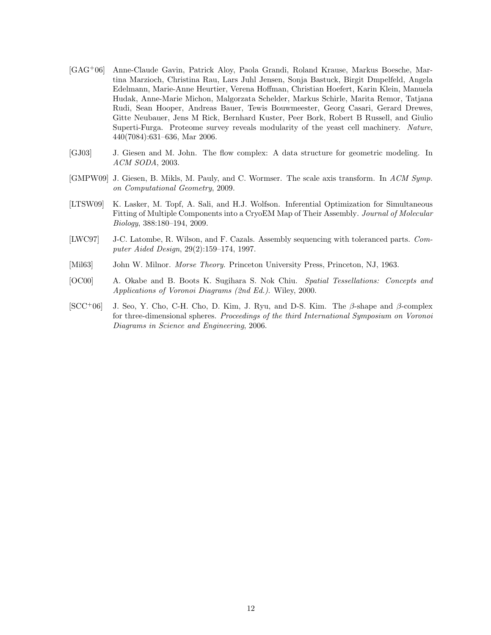- <span id="page-12-4"></span>[GAG+06] Anne-Claude Gavin, Patrick Aloy, Paola Grandi, Roland Krause, Markus Boesche, Martina Marzioch, Christina Rau, Lars Juhl Jensen, Sonja Bastuck, Birgit Dmpelfeld, Angela Edelmann, Marie-Anne Heurtier, Verena Hoffman, Christian Hoefert, Karin Klein, Manuela Hudak, Anne-Marie Michon, Malgorzata Schelder, Markus Schirle, Marita Remor, Tatjana Rudi, Sean Hooper, Andreas Bauer, Tewis Bouwmeester, Georg Casari, Gerard Drewes, Gitte Neubauer, Jens M Rick, Bernhard Kuster, Peer Bork, Robert B Russell, and Giulio Superti-Furga. Proteome survey reveals modularity of the yeast cell machinery. Nature, 440(7084):631–636, Mar 2006.
- <span id="page-12-1"></span>[GJ03] J. Giesen and M. John. The flow complex: A data structure for geometric modeling. In ACM SODA, 2003.
- <span id="page-12-3"></span>[GMPW09] J. Giesen, B. Mikls, M. Pauly, and C. Wormser. The scale axis transform. In ACM Symp. on Computational Geometry, 2009.
- <span id="page-12-5"></span>[LTSW09] K. Lasker, M. Topf, A. Sali, and H.J. Wolfson. Inferential Optimization for Simultaneous Fitting of Multiple Components into a CryoEM Map of Their Assembly. Journal of Molecular Biology, 388:180–194, 2009.
- <span id="page-12-6"></span>[LWC97] J-C. Latombe, R. Wilson, and F. Cazals. Assembly sequencing with toleranced parts. Computer Aided Design, 29(2):159–174, 1997.
- <span id="page-12-2"></span>[Mil63] John W. Milnor. Morse Theory. Princeton University Press, Princeton, NJ, 1963.
- <span id="page-12-0"></span>[OC00] A. Okabe and B. Boots K. Sugihara S. Nok Chiu. Spatial Tessellations: Concepts and Applications of Voronoi Diagrams (2nd Ed.). Wiley, 2000.
- <span id="page-12-7"></span> $[SCC<sup>+</sup>06]$  J. Seo, Y. Cho, C-H. Cho, D. Kim, J. Ryu, and D-S. Kim. The  $\beta$ -shape and  $\beta$ -complex for three-dimensional spheres. Proceedings of the third International Symposium on Voronoi Diagrams in Science and Engineering, 2006.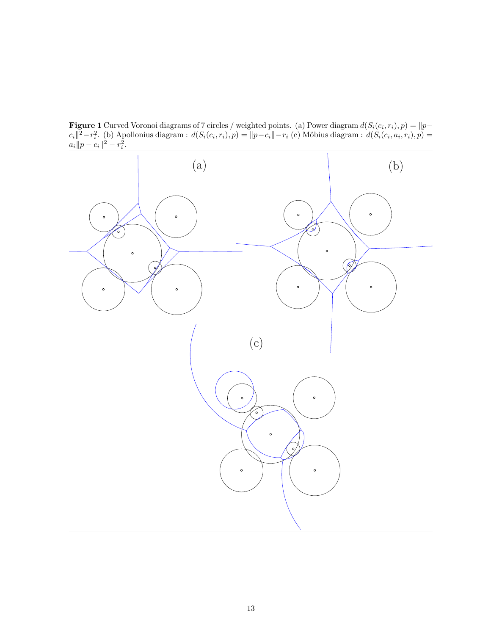<span id="page-13-0"></span>**Figure 1** Curved Voronoi diagrams of 7 circles / weighted points. (a) Power diagram  $d(S_i(c_i, r_i), p) = ||p - p||$  $c_i||^2 - r_i^2$ . (b) Apollonius diagram :  $d(S_i(c_i, r_i), p) = ||p - c_i|| - r_i$  (c) Möbius diagram :  $d(S_i(c_i, a_i, r_i), p) =$  $a_i \| p - c_i \|^{2} - r_i^{2}.$ 

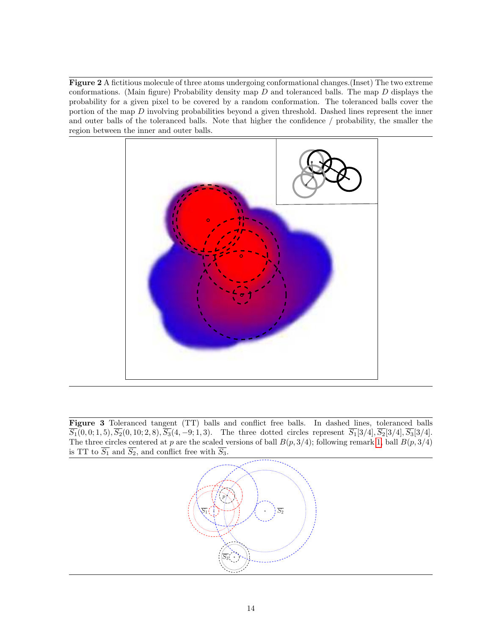<span id="page-14-0"></span>Figure 2 A fictitious molecule of three atoms undergoing conformational changes.(Inset) The two extreme conformations. (Main figure) Probability density map  $D$  and toleranced balls. The map  $D$  displays the probability for a given pixel to be covered by a random conformation. The toleranced balls cover the portion of the map D involving probabilities beyond a given threshold. Dashed lines represent the inner and outer balls of the toleranced balls. Note that higher the confidence / probability, the smaller the region between the inner and outer balls.



<span id="page-14-1"></span>Figure 3 Toleranced tangent (TT) balls and conflict free balls. In dashed lines, toleranced balls  $\overline{S_1}(0,0;1,5), \overline{S_2}(0,10;2,8), \overline{S_3}(4,-9;1,3).$  The three dotted circles represent  $\overline{S_1}[3/4], \overline{S_2}[3/4], \overline{S_3}[3/4].$ The three circles centered at p are the scaled versions of ball  $B(p, 3/4)$ ; following remark [1,](#page-3-5) ball  $B(p, 3/4)$ is TT to  $\overline{S_1}$  and  $\overline{S_2}$ , and conflict free with  $\overline{S_3}$ .

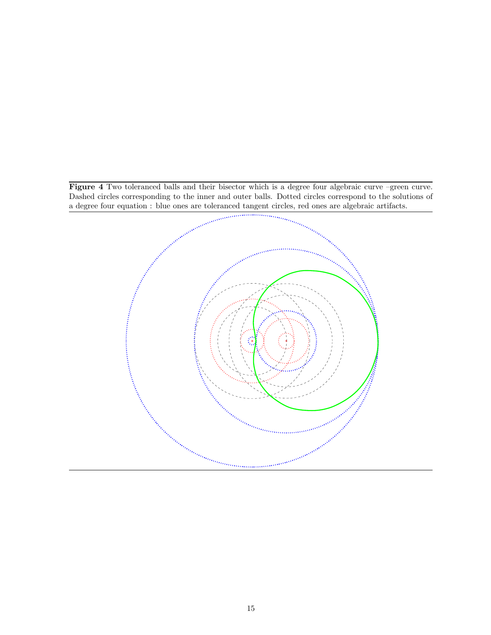<span id="page-15-0"></span>Figure 4 Two toleranced balls and their bisector which is a degree four algebraic curve –green curve. Dashed circles corresponding to the inner and outer balls. Dotted circles correspond to the solutions of

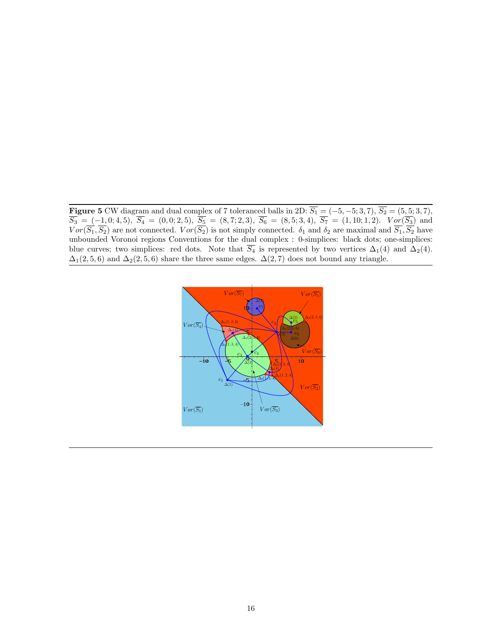<span id="page-16-0"></span>**Figure 5** CW diagram and dual complex of 7 toleranced balls in 2D:  $S_1 = (-5, -5, 3, 7), S_2 = (5, 5, 3, 7)$ ,  $S_3 = (-1, 0; 4, 5), S_4 = (0, 0; 2, 5), S_5 = (8, 7; 2, 3), S_6 = (8, 5; 3, 4), S_7 = (1, 10; 1, 2).$   $Vor(S_3)$  and  $Vor(S_1, S_2)$  are not connected.  $Vor(S_2)$  is not simply connected.  $\delta_1$  and  $\delta_2$  are maximal and  $S_1, S_2$  have unbounded Voronoi regions Conventions for the dual complex : 0-simplices: black dots; one-simplices: blue curves; two simplices: red dots. Note that  $\overline{S_4}$  is represented by two vertices  $\Delta_1(4)$  and  $\Delta_2(4)$ .  $\Delta_1(2, 5, 6)$  and  $\Delta_2(2, 5, 6)$  share the three same edges.  $\Delta(2, 7)$  does not bound any triangle.

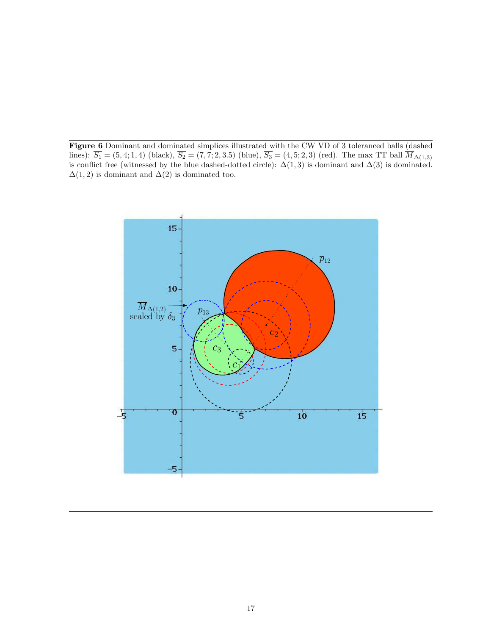<span id="page-17-0"></span>Figure 6 Dominant and dominated simplices illustrated with the CW VD of 3 toleranced balls (dashed lines):  $S_1 = (5, 4; 1, 4)$  (black),  $S_2 = (7, 7; 2, 3.5)$  (blue),  $S_3 = (4, 5; 2, 3)$  (red). The max TT ball  $M_{\Delta(1,3)}$ is conflict free (witnessed by the blue dashed-dotted circle):  $\Delta(1,3)$  is dominant and  $\Delta(3)$  is dominated.  $\Delta(1, 2)$  is dominant and  $\Delta(2)$  is dominated too.

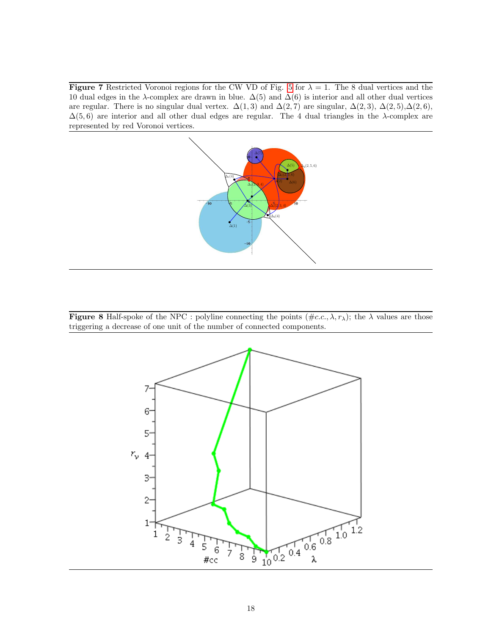<span id="page-18-0"></span>**Figure 7** Restricted Voronoi regions for the CW VD of Fig. [5](#page-16-0) for  $\lambda = 1$ . The 8 dual vertices and the 10 dual edges in the  $\lambda$ -complex are drawn in blue.  $\Delta(5)$  and  $\Delta(6)$  is interior and all other dual vertices are regular. There is no singular dual vertex.  $\Delta(1,3)$  and  $\Delta(2,7)$  are singular,  $\Delta(2,3)$ ,  $\Delta(2,5)$ ,  $\Delta(2,6)$ ,  $\Delta(5,6)$  are interior and all other dual edges are regular. The 4 dual triangles in the  $\lambda$ -complex are represented by red Voronoi vertices.



<span id="page-18-1"></span>**Figure 8** Half-spoke of the NPC : polyline connecting the points  $(\text{\#c.c.}, \lambda, r_\lambda)$ ; the  $\lambda$  values are those triggering a decrease of one unit of the number of connected components.